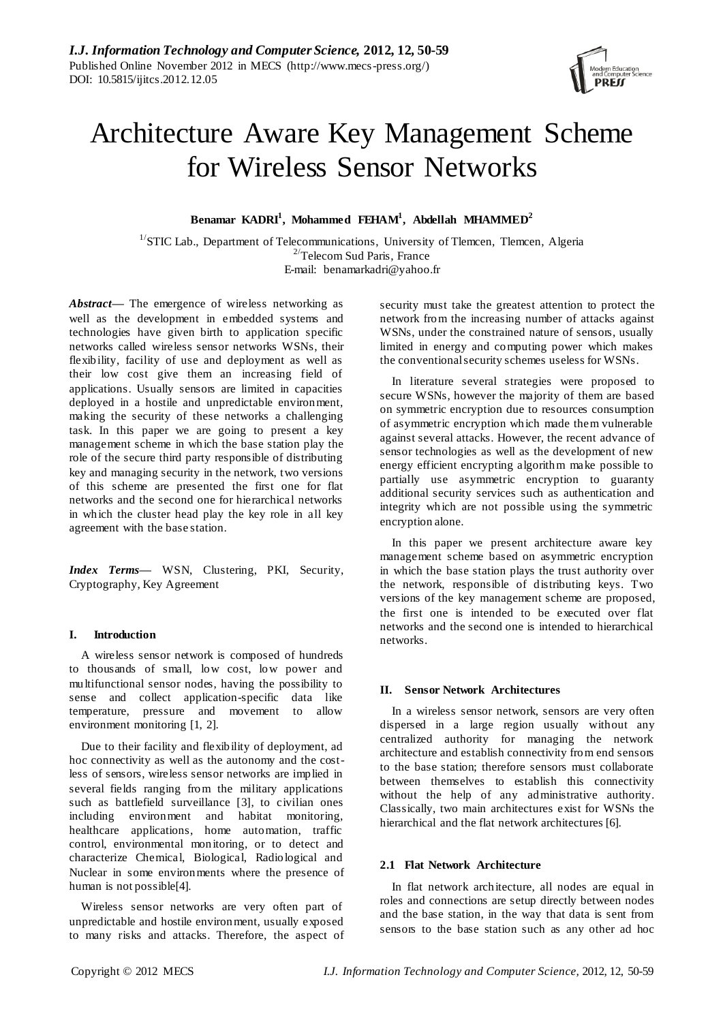

# Architecture Aware Key Management Scheme for Wireless Sensor Networks

**Benamar KADRI<sup>1</sup> , Mohammed FEHAM<sup>1</sup> , Abdellah MHAMMED<sup>2</sup>**

 $1/\text{STIC}$  Lab., Department of Telecommunications, University of Tlemcen, Tlemcen, Algeria  $2^{\prime}$ Telecom Sud Paris, France E-mail: [benamarkadri@yahoo.fr](mailto:benamarkadri@yahoo.fr)

*Abstract—* The emergence of wireless networking as well as the development in embedded systems and technologies have given birth to application specific networks called wireless sensor networks WSNs, their flexibility, facility of use and deployment as well as their low cost give them an increasing field of applications. Usually sensors are limited in capacities deployed in a hostile and unpredictable environment, making the security of these networks a challenging task. In this paper we are going to present a key management scheme in which the base station play the role of the secure third party responsible of distributing key and managing security in the network, two versions of this scheme are presented the first one for flat networks and the second one for hierarchical networks in which the cluster head play the key role in all key agreement with the base station.

*Index Terms***—** WSN, Clustering, PKI, Security, Cryptography, Key Agreement

## **I. Introduction**

A wireless sensor network is composed of hundreds to thousands of small, low cost, low power and multifunctional sensor nodes, having the possibility to sense and collect application-specific data like temperature, pressure and movement to allow environment monitoring [1, 2].

Due to their facility and flexibility of deployment, ad hoc connectivity as well as the autonomy and the costless of sensors, wireless sensor networks are implied in several fields ranging from the military applications such as battlefield surveillance [3], to civilian ones including environment and habitat monitoring, healthcare applications, home automation, traffic control, environmental monitoring, or to detect and characterize Chemical, Biological, Radiological and Nuclear in some environments where the presence of human is not possible[4].

Wireless sensor networks are very often part of unpredictable and hostile environment, usually exposed to many risks and attacks. Therefore, the aspect of security must take the greatest attention to protect the network from the increasing number of attacks against WSNs, under the constrained nature of sensors, usually limited in energy and computing power which makes the conventional security schemes useless for WSNs.

In literature several strategies were proposed to secure WSNs, however the majority of them are based on symmetric encryption due to resources consumption of asymmetric encryption which made them vulnerable against several attacks. However, the recent advance of sensor technologies as well as the development of new energy efficient encrypting algorithm make possible to partially use asymmetric encryption to guaranty additional security services such as authentication and integrity which are not possible using the symmetric encryption alone.

In this paper we present architecture aware key management scheme based on asymmetric encryption in which the base station plays the trust authority over the network, responsible of distributing keys. Two versions of the key management scheme are proposed, the first one is intended to be executed over flat networks and the second one is intended to hierarchical networks.

# **II. Sensor Network Architectures**

In a wireless sensor network, sensors are very often dispersed in a large region usually without any centralized authority for managing the network architecture and establish connectivity from end sensors to the base station; therefore sensors must collaborate between themselves to establish this connectivity without the help of any administrative authority. Classically, two main architectures exist for WSNs the hierarchical and the flat network architectures [6].

## **2.1 Flat Network Architecture**

In flat network architecture, all nodes are equal in roles and connections are setup directly between nodes and the base station, in the way that data is sent from sensors to the base station such as any other ad hoc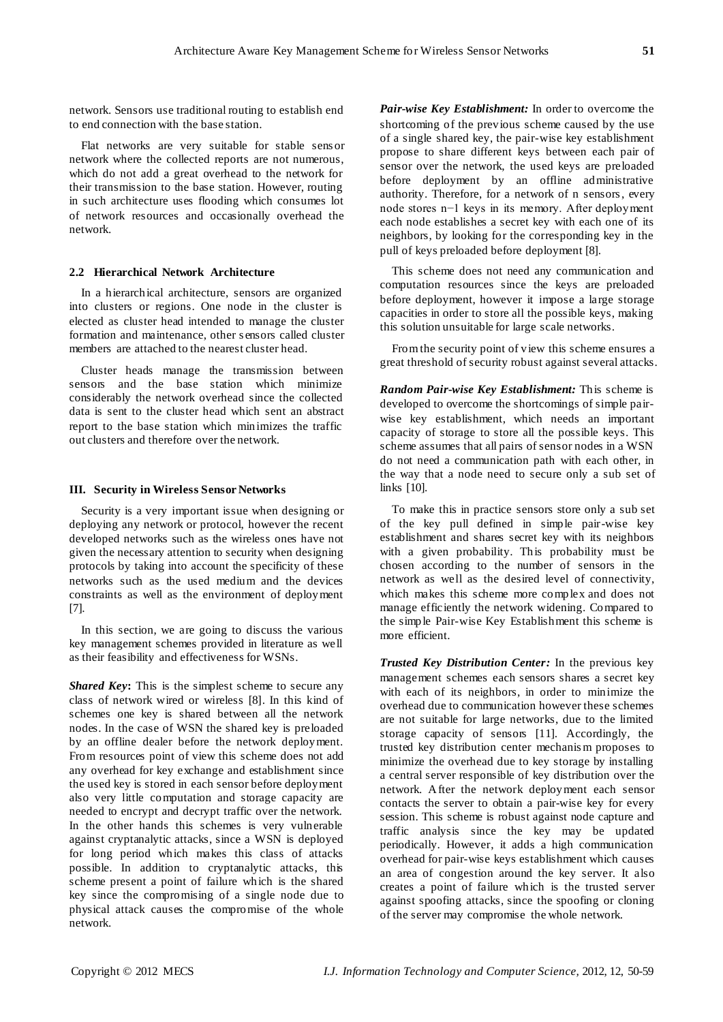network. Sensors use traditional routing to establish end to end connection with the base station.

Flat networks are very suitable for stable sens or network where the collected reports are not numerous, which do not add a great overhead to the network for their transmission to the base station. However, routing in such architecture uses flooding which consumes lot of network resources and occasionally overhead the network.

#### **2.2 Hierarchical Network Architecture**

In a hierarchical architecture, sensors are organized into clusters or regions. One node in the cluster is elected as cluster head intended to manage the cluster formation and maintenance, other s ensors called cluster members are attached to the nearest cluster head.

Cluster heads manage the transmission between sensors and the base station which minimize considerably the network overhead since the collected data is sent to the cluster head which sent an abstract report to the base station which minimizes the traffic out clusters and therefore over the network.

#### **III. Security in Wireless Sensor Networks**

Security is a very important issue when designing or deploying any network or protocol, however the recent developed networks such as the wireless ones have not given the necessary attention to security when designing protocols by taking into account the specificity of these networks such as the used medium and the devices constraints as well as the environment of deployment [7].

In this section, we are going to discuss the various key management schemes provided in literature as well as their feasibility and effectiveness for WSNs.

*Shared Key***:** This is the simplest scheme to secure any class of network wired or wireless [8]. In this kind of schemes one key is shared between all the network nodes. In the case of WSN the shared key is preloaded by an offline dealer before the network deployment. From resources point of view this scheme does not add any overhead for key exchange and establishment since the used key is stored in each sensor before deployment also very little computation and storage capacity are needed to encrypt and decrypt traffic over the network. In the other hands this schemes is very vulnerable against cryptanalytic attacks, since a WSN is deployed for long period which makes this class of attacks possible. In addition to cryptanalytic attacks, this scheme present a point of failure which is the shared key since the compromising of a single node due to physical attack causes the compromise of the whole network.

*Pair-wise Key Establishment:* In order to overcome the shortcoming of the previous scheme caused by the use of a single shared key, the pair-wise key establishment propose to share different keys between each pair of sensor over the network, the used keys are preloaded before deployment by an offline administrative authority. Therefore, for a network of n sensors, every node stores n−1 keys in its memory. After deployment each node establishes a secret key with each one of its neighbors, by looking for the corresponding key in the pull of keys preloaded before deployment [8].

This scheme does not need any communication and computation resources since the keys are preloaded before deployment, however it impose a large storage capacities in order to store all the possible keys, making this solution unsuitable for large scale networks.

From the security point of view this scheme ensures a great threshold of security robust against several attacks.

*Random Pair-wise Key Establishment:* This scheme is developed to overcome the shortcomings of simple pairwise key establishment, which needs an important capacity of storage to store all the possible keys. This scheme assumes that all pairs of sensor nodes in a WSN do not need a communication path with each other, in the way that a node need to secure only a sub set of links [10].

To make this in practice sensors store only a sub set of the key pull defined in simple pair-wise key establishment and shares secret key with its neighbors with a given probability. This probability must be chosen according to the number of sensors in the network as well as the desired level of connectivity, which makes this scheme more complex and does not manage efficiently the network widening. Compared to the simple Pair-wise Key Establishment this scheme is more efficient.

*Trusted Key Distribution Center:* In the previous key management schemes each sensors shares a secret key with each of its neighbors, in order to minimize the overhead due to communication however these schemes are not suitable for large networks, due to the limited storage capacity of sensors [11]. Accordingly, the trusted key distribution center mechanis m proposes to minimize the overhead due to key storage by installing a central server responsible of key distribution over the network. After the network deployment each sensor contacts the server to obtain a pair-wise key for every session. This scheme is robust against node capture and traffic analysis since the key may be updated periodically. However, it adds a high communication overhead for pair-wise keys establishment which causes an area of congestion around the key server. It also creates a point of failure which is the trusted server against spoofing attacks, since the spoofing or cloning of the server may compromise the whole network.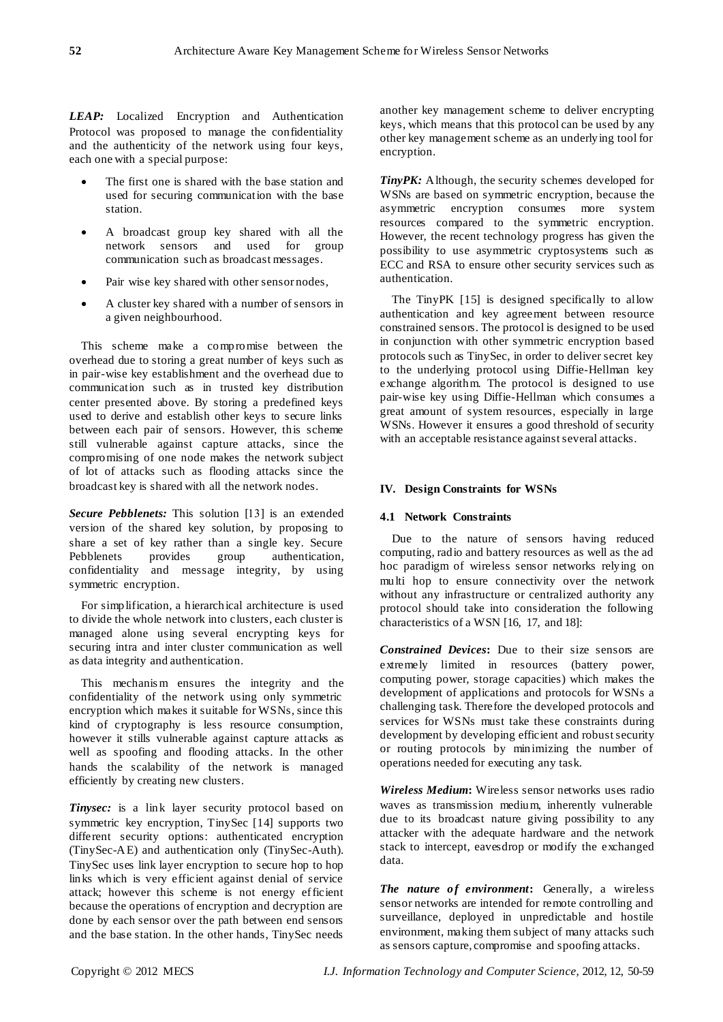*LEAP:* Localized Encryption and Authentication Protocol was proposed to manage the confidentiality and the authenticity of the network using four keys, each one with a special purpose:

- The first one is shared with the base station and used for securing communication with the base station.
- A broadcast group key shared with all the network sensors and used for group communication such as broadcast messages.
- Pair wise key shared with other sensor nodes,
- A cluster key shared with a number of sensors in a given neighbourhood.

This scheme make a compromise between the overhead due to storing a great number of keys such as in pair-wise key establishment and the overhead due to communication such as in trusted key distribution center presented above. By storing a predefined keys used to derive and establish other keys to secure links between each pair of sensors. However, this scheme still vulnerable against capture attacks, since the compromising of one node makes the network subject of lot of attacks such as flooding attacks since the broadcast key is shared with all the network nodes.

*Secure Pebblenets:* This solution [13] is an extended version of the shared key solution, by proposing to share a set of key rather than a single key. Secure Pebblenets provides group authentication, confidentiality and message integrity, by using symmetric encryption.

For simplification, a hierarchical architecture is used to divide the whole network into clusters, each cluster is managed alone using several encrypting keys for securing intra and inter cluster communication as well as data integrity and authentication.

This mechanis m ensures the integrity and the confidentiality of the network using only symmetric encryption which makes it suitable for WSNs, since this kind of cryptography is less resource consumption, however it stills vulnerable against capture attacks as well as spoofing and flooding attacks. In the other hands the scalability of the network is managed efficiently by creating new clusters.

*Tinysec:* is a link layer security protocol based on symmetric key encryption, TinySec [14] supports two different security options: authenticated encryption (TinySec-AE) and authentication only (TinySec-Auth). TinySec uses link layer encryption to secure hop to hop links which is very efficient against denial of service attack; however this scheme is not energy efficient because the operations of encryption and decryption are done by each sensor over the path between end sensors and the base station. In the other hands, TinySec needs

another key management scheme to deliver encrypting keys, which means that this protocol can be used by any other key management scheme as an underlying tool for encryption.

*TinyPK:* Although, the security schemes developed for WSNs are based on symmetric encryption, because the asymmetric encryption consumes more system resources compared to the symmetric encryption. However, the recent technology progress has given the possibility to use asymmetric cryptosystems such as ECC and RSA to ensure other security services such as authentication.

The TinyPK [15] is designed specifically to allow authentication and key agreement between resource constrained sensors. The protocol is designed to be used in conjunction with other symmetric encryption based protocols such as TinySec, in order to deliver secret key to the underlying protocol using Diffie-Hellman key exchange algorithm. The protocol is designed to use pair-wise key using Diffie-Hellman which consumes a great amount of system resources, especially in large WSNs. However it ensures a good threshold of security with an acceptable resistance against several attacks.

# **IV. Design Constraints for WSNs**

## **4.1 Network Constraints**

Due to the nature of sensors having reduced computing, radio and battery resources as well as the ad hoc paradigm of wireless sensor networks relying on multi hop to ensure connectivity over the network without any infrastructure or centralized authority any protocol should take into consideration the following characteristics of a WSN [16, 17, and 18]:

*Constrained Devices***:** Due to their size sensors are extremely limited in resources (battery power, computing power, storage capacities) which makes the development of applications and protocols for WSNs a challenging task. Therefore the developed protocols and services for WSNs must take these constraints during development by developing efficient and robust security or routing protocols by minimizing the number of operations needed for executing any task.

*Wireless Medium***:** Wireless sensor networks uses radio waves as transmission medium, inherently vulnerable due to its broadcast nature giving possibility to any attacker with the adequate hardware and the network stack to intercept, eavesdrop or modify the exchanged data.

*The nature of environment***:** Generally, a wireless sensor networks are intended for remote controlling and surveillance, deployed in unpredictable and hostile environment, making them subject of many attacks such as sensors capture, compromise and spoofing attacks.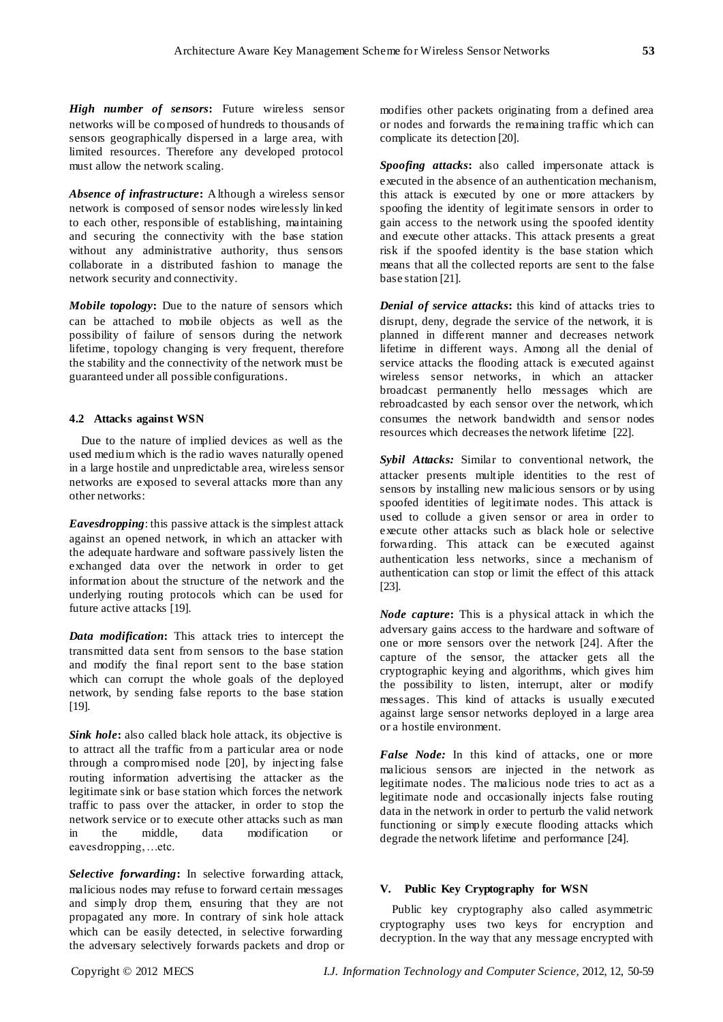*High number of sensors***:** Future wireless sensor networks will be composed of hundreds to thousands of sensors geographically dispersed in a large area, with limited resources. Therefore any developed protocol must allow the network scaling.

*Absence of infrastructure***:** Although a wireless sensor network is composed of sensor nodes wirelessly linked to each other, responsible of establishing, maintaining and securing the connectivity with the base station without any administrative authority, thus sensors collaborate in a distributed fashion to manage the network security and connectivity.

*Mobile topology***:** Due to the nature of sensors which can be attached to mobile objects as well as the possibility of failure of sensors during the network lifetime, topology changing is very frequent, therefore the stability and the connectivity of the network must be guaranteed under all possible configurations.

## **4.2 Attacks against WSN**

Due to the nature of implied devices as well as the used medium which is the radio waves naturally opened in a large hostile and unpredictable area, wireless sensor networks are exposed to several attacks more than any other networks:

*Eavesdropping*: this passive attack is the simplest attack against an opened network, in which an attacker with the adequate hardware and software passively listen the exchanged data over the network in order to get information about the structure of the network and the underlying routing protocols which can be used for future active attacks [19].

*Data modification***:** This attack tries to intercept the transmitted data sent from sensors to the base station and modify the final report sent to the base station which can corrupt the whole goals of the deployed network, by sending false reports to the base station [19].

*Sink hole***:** also called black hole attack, its objective is to attract all the traffic from a particular area or node through a compromised node [20], by injecting false routing information advertising the attacker as the legitimate sink or base station which forces the network traffic to pass over the attacker, in order to stop the network service or to execute other attacks such as man in the middle, data modification or eavesdropping, …etc.

*Selective forwarding***:** In selective forwarding attack, malicious nodes may refuse to forward certain messages and simply drop them, ensuring that they are not propagated any more. In contrary of sink hole attack which can be easily detected, in selective forwarding the adversary selectively forwards packets and drop or modifies other packets originating from a defined area or nodes and forwards the remaining traffic which can complicate its detection [20].

*Spoofing attacks***:** also called impersonate attack is executed in the absence of an authentication mechanism, this attack is executed by one or more attackers by spoofing the identity of legitimate sensors in order to gain access to the network using the spoofed identity and execute other attacks. This attack presents a great risk if the spoofed identity is the base station which means that all the collected reports are sent to the false base station [21].

*Denial of service attacks***:** this kind of attacks tries to disrupt, deny, degrade the service of the network, it is planned in different manner and decreases network lifetime in different ways. Among all the denial of service attacks the flooding attack is executed against wireless sensor networks, in which an attacker broadcast permanently hello messages which are rebroadcasted by each sensor over the network, which consumes the network bandwidth and sensor nodes resources which decreases the network lifetime [22].

*Sybil Attacks:* Similar to conventional network, the attacker presents multiple identities to the rest of sensors by installing new malicious sensors or by using spoofed identities of legitimate nodes. This attack is used to collude a given sensor or area in order to execute other attacks such as black hole or selective forwarding. This attack can be executed against authentication less networks, since a mechanism of authentication can stop or limit the effect of this attack [23].

*Node capture***:** This is a physical attack in which the adversary gains access to the hardware and software of one or more sensors over the network [24]. After the capture of the sensor, the attacker gets all the cryptographic keying and algorithms, which gives him the possibility to listen, interrupt, alter or modify messages. This kind of attacks is usually executed against large sensor networks deployed in a large area or a hostile environment.

*False Node:* In this kind of attacks, one or more malicious sensors are injected in the network as legitimate nodes. The malicious node tries to act as a legitimate node and occasionally injects false routing data in the network in order to perturb the valid network functioning or simply execute flooding attacks which degrade the network lifetime and performance [24].

## **V. Public Key Cryptography for WSN**

Public key cryptography also called asymmetric cryptography uses two keys for encryption and decryption. In the way that any message encrypted with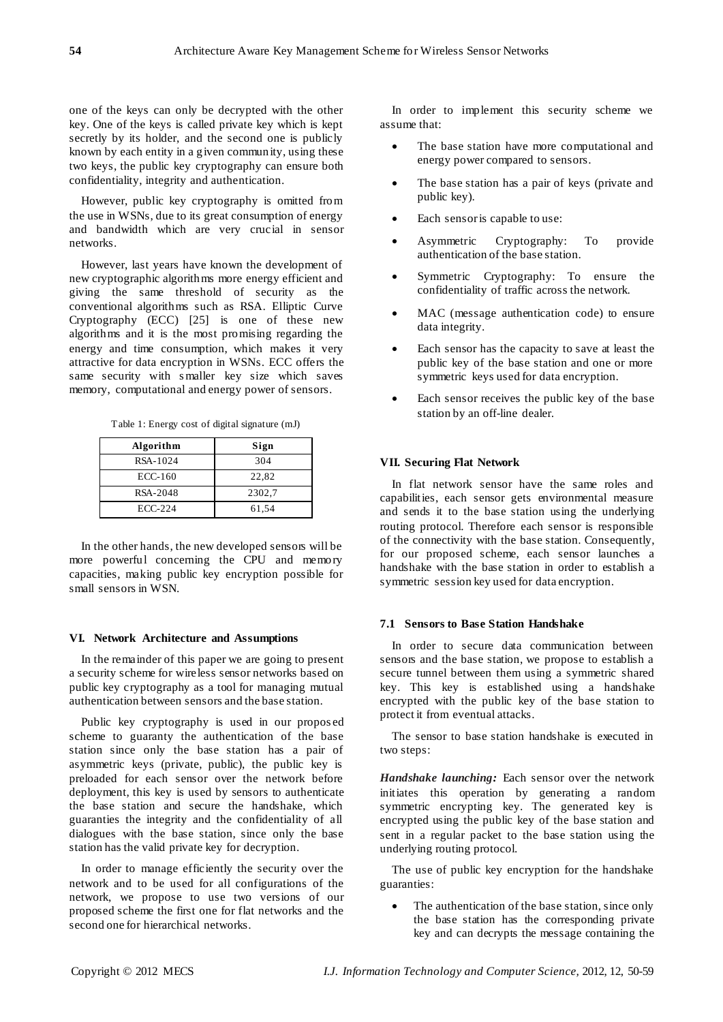one of the keys can only be decrypted with the other key. One of the keys is called private key which is kept secretly by its holder, and the second one is publicly known by each entity in a given community, using these two keys, the public key cryptography can ensure both confidentiality, integrity and authentication.

However, public key cryptography is omitted from the use in WSNs, due to its great consumption of energy and bandwidth which are very crucial in sensor networks.

However, last years have known the development of new cryptographic algorithms more energy efficient and giving the same threshold of security as the conventional algorithms such as RSA. Elliptic Curve Cryptography (ECC) [25] is one of these new algorithms and it is the most promising regarding the energy and time consumption, which makes it very attractive for data encryption in WSNs. ECC offers the same security with s maller key size which saves memory, computational and energy power of sensors.

Table 1: Energy cost of digital signature (mJ)

| Algorithm | Sign   |
|-----------|--------|
| RSA-1024  | 304    |
| $ECC-160$ | 22,82  |
| RSA-2048  | 2302.7 |
| ECC-224   | 61,54  |

In the other hands, the new developed sensors will be more powerful concerning the CPU and memory capacities, making public key encryption possible for small sensors in WSN.

#### **VI. Network Architecture and Assumptions**

In the remainder of this paper we are going to present a security scheme for wireless sensor networks based on public key cryptography as a tool for managing mutual authentication between sensors and the base station.

Public key cryptography is used in our propos ed scheme to guaranty the authentication of the base station since only the base station has a pair of asymmetric keys (private, public), the public key is preloaded for each sensor over the network before deployment, this key is used by sensors to authenticate the base station and secure the handshake, which guaranties the integrity and the confidentiality of all dialogues with the base station, since only the base station has the valid private key for decryption.

In order to manage efficiently the security over the network and to be used for all configurations of the network, we propose to use two versions of our proposed scheme the first one for flat networks and the second one for hierarchical networks.

In order to implement this security scheme we assume that:

- The base station have more computational and energy power compared to sensors.
- The base station has a pair of keys (private and public key).
- Each sensor is capable to use:
- Asymmetric Cryptography: To provide authentication of the base station.
- Symmetric Cryptography: To ensure the confidentiality of traffic across the network.
- MAC (message authentication code) to ensure data integrity.
- Each sensor has the capacity to save at least the public key of the base station and one or more symmetric keys used for data encryption.
- Each sensor receives the public key of the base station by an off-line dealer.

#### **VII. Securing Flat Network**

In flat network sensor have the same roles and capabilities, each sensor gets environmental measure and sends it to the base station using the underlying routing protocol. Therefore each sensor is responsible of the connectivity with the base station. Consequently, for our proposed scheme, each sensor launches a handshake with the base station in order to establish a symmetric session key used for data encryption.

# **7.1 Sensors to Base Station Handshake**

In order to secure data communication between sensors and the base station, we propose to establish a secure tunnel between them using a symmetric shared key. This key is established using a handshake encrypted with the public key of the base station to protect it from eventual attacks.

The sensor to base station handshake is executed in two steps:

*Handshake launching:* Each sensor over the network initiates this operation by generating a random symmetric encrypting key. The generated key is encrypted using the public key of the base station and sent in a regular packet to the base station using the underlying routing protocol.

The use of public key encryption for the handshake guaranties:

 The authentication of the base station, since only the base station has the corresponding private key and can decrypts the message containing the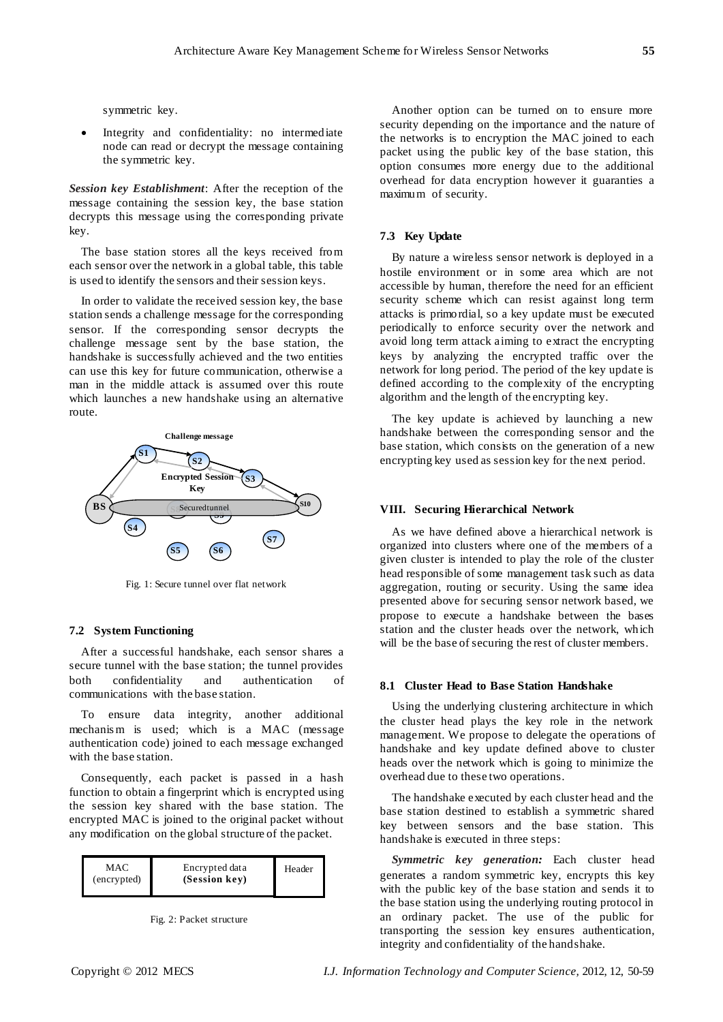symmetric key.

 Integrity and confidentiality: no intermediate node can read or decrypt the message containing the symmetric key.

*Session key Establishment*: After the reception of the message containing the session key, the base station decrypts this message using the corresponding private key.

The base station stores all the keys received from each sensor over the network in a global table, this table is used to identify the sensors and their session keys.

In order to validate the received session key, the base station sends a challenge message for the corresponding sensor. If the corresponding sensor decrypts the challenge message sent by the base station, the handshake is successfully achieved and the two entities can use this key for future communication, otherwise a man in the middle attack is assumed over this route which launches a new handshake using an alternative route.



Fig. 1: Secure tunnel over flat network

#### **7.2 System Functioning**

After a successful handshake, each sensor shares a secure tunnel with the base station; the tunnel provides both confidentiality and authentication of communications with the base station.

To ensure data integrity, another additional mechanism is used; which is a MAC (message authentication code) joined to each message exchanged with the base station.

Consequently, each packet is passed in a hash function to obtain a fingerprint which is encrypted using the session key shared with the base station. The encrypted MAC is joined to the original packet without any modification on the global structure of the packet.

| MAC<br>(encrypted) | Encrypted data<br>(Session kev) | Header |
|--------------------|---------------------------------|--------|
|--------------------|---------------------------------|--------|



Another option can be turned on to ensure more security depending on the importance and the nature of the networks is to encryption the MAC joined to each packet using the public key of the base station, this option consumes more energy due to the additional overhead for data encryption however it guaranties a maximum of security.

## **7.3 Key Update**

By nature a wireless sensor network is deployed in a hostile environment or in some area which are not accessible by human, therefore the need for an efficient security scheme which can resist against long term attacks is primordial, so a key update must be executed periodically to enforce security over the network and avoid long term attack aiming to extract the encrypting keys by analyzing the encrypted traffic over the network for long period. The period of the key update is defined according to the complexity of the encrypting algorithm and the length of the encrypting key.

The key update is achieved by launching a new handshake between the corresponding sensor and the base station, which consists on the generation of a new encrypting key used as session key for the next period.

#### **VIII. Securing Hierarchical Network**

As we have defined above a hierarchical network is organized into clusters where one of the members of a given cluster is intended to play the role of the cluster head responsible of some management task such as data aggregation, routing or security. Using the same idea presented above for securing sensor network based, we propose to execute a handshake between the bases station and the cluster heads over the network, which will be the base of securing the rest of cluster members.

## **8.1 Cluster Head to Base Station Handshake**

Using the underlying clustering architecture in which the cluster head plays the key role in the network management. We propose to delegate the operations of handshake and key update defined above to cluster heads over the network which is going to minimize the overhead due to these two operations.

The handshake executed by each cluster head and the base station destined to establish a symmetric shared key between sensors and the base station. This handshake is executed in three steps:

*Symmetric key generation:* Each cluster head generates a random symmetric key, encrypts this key with the public key of the base station and sends it to the base station using the underlying routing protocol in an ordinary packet. The use of the public for transporting the session key ensures authentication, integrity and confidentiality of the handshake.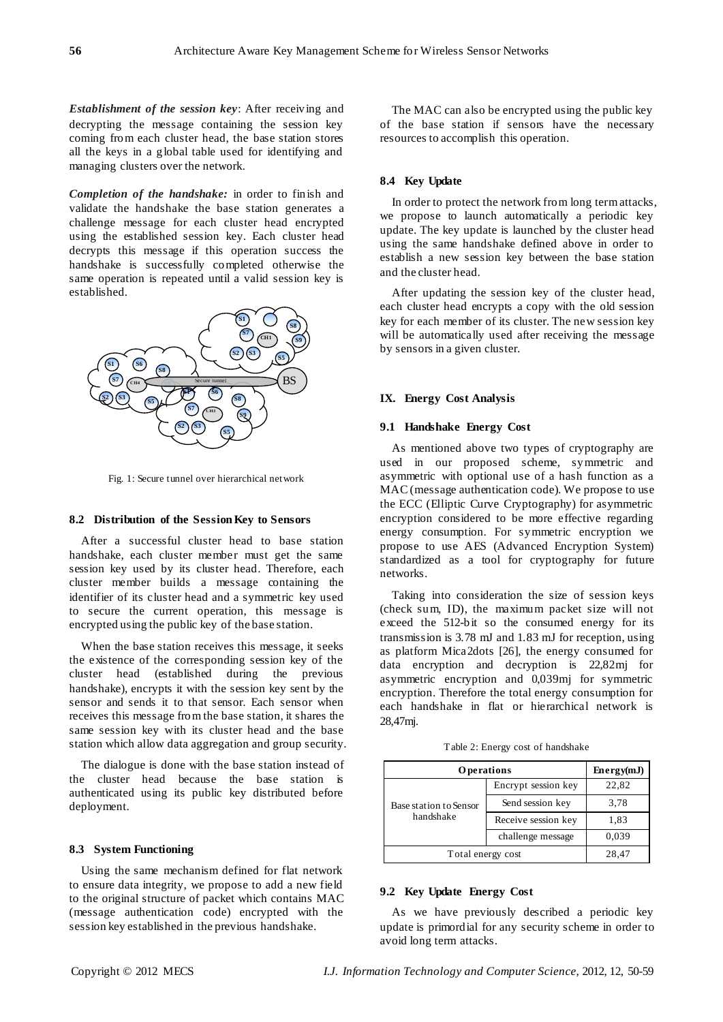*Establishment of the session key*: After receiving and decrypting the message containing the session key coming from each cluster head, the base station stores all the keys in a global table used for identifying and managing clusters over the network.

*Completion of the handshake:* in order to finish and validate the handshake the base station generates a challenge message for each cluster head encrypted using the established session key. Each cluster head decrypts this message if this operation success the handshake is successfully completed otherwise the same operation is repeated until a valid session key is established.



Fig. 1: Secure tunnel over hierarchical network

#### **8.2 Distribution of the Session Key to Sensors**

After a successful cluster head to base station handshake, each cluster member must get the same session key used by its cluster head. Therefore, each cluster member builds a message containing the identifier of its cluster head and a symmetric key used to secure the current operation, this message is encrypted using the public key of the base station.

When the base station receives this message, it seeks the existence of the corresponding session key of the cluster head (established during the previous handshake), encrypts it with the session key sent by the sensor and sends it to that sensor. Each sensor when receives this message from the base station, it shares the same session key with its cluster head and the base station which allow data aggregation and group security.

The dialogue is done with the base station instead of the cluster head because the base station is authenticated using its public key distributed before deployment.

## **8.3 System Functioning**

Using the same mechanism defined for flat network to ensure data integrity, we propose to add a new field to the original structure of packet which contains MAC (message authentication code) encrypted with the session key established in the previous handshake.

The MAC can also be encrypted using the public key of the base station if sensors have the necessary resources to accomplish this operation.

# **8.4 Key Update**

In order to protect the network from long term attacks, we propose to launch automatically a periodic key update. The key update is launched by the cluster head using the same handshake defined above in order to establish a new session key between the base station and the cluster head.

After updating the session key of the cluster head, each cluster head encrypts a copy with the old session key for each member of its cluster. The new session key will be automatically used after receiving the message by sensors in a given cluster.

## **IX. Energy Cost Analysis**

## **9.1 Handshake Energy Cost**

As mentioned above two types of cryptography are used in our proposed scheme, symmetric and asymmetric with optional use of a hash function as a MAC (message authentication code). We propose to use the ECC (Elliptic Curve Cryptography) for asymmetric encryption considered to be more effective regarding energy consumption. For symmetric encryption we propose to use AES (Advanced Encryption System) standardized as a tool for cryptography for future networks.

Taking into consideration the size of session keys (check sum, ID), the maximum packet size will not exceed the 512-bit so the consumed energy for its transmission is 3.78 mJ and 1.83 mJ for reception, using as platform Mica2dots [26], the energy consumed for data encryption and decryption is 22,82mj for asymmetric encryption and 0,039mj for symmetric encryption. Therefore the total energy consumption for each handshake in flat or hierarchical network is 28,47mj.

Table 2: Energy cost of handshake

| Operations                          |                     | Energy(mJ) |
|-------------------------------------|---------------------|------------|
| Base station to Sensor<br>handshake | Encrypt session key | 22,82      |
|                                     | Send session key    | 3,78       |
|                                     | Receive session key | 1,83       |
|                                     | challenge message   | 0.039      |
| Total energy cost                   |                     | 28,47      |

#### **9.2 Key Update Energy Cost**

As we have previously described a periodic key update is primordial for any security scheme in order to avoid long term attacks.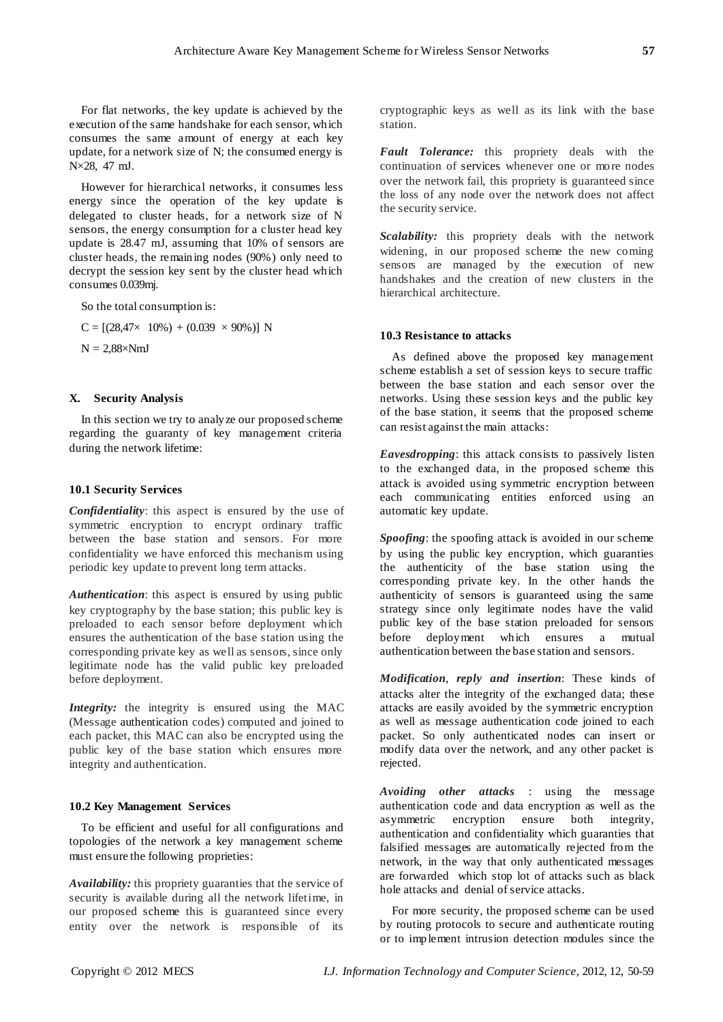For flat networks, the key update is achieved by the execution of the same handshake for each sensor, which consumes the same amount of energy at each key update, for a network size of N; the consumed energy is N×28, 47 mJ.

However for hierarchical networks, it consumes less energy since the operation of the key update is delegated to cluster heads, for a network size of N sensors, the energy consumption for a cluster head key update is 28.47 mJ, assuming that 10% of sensors are cluster heads, the remaining nodes (90%) only need to decrypt the session key sent by the cluster head which consumes 0.039mj.

So the total consumption is:

 $C = [(28,47 \times 10\%) + (0.039 \times 90\%)] N$  $N = 2.88 \times NmJ$ 

## **X. Security Analysis**

In this section we try to analyze our proposed scheme regarding the guaranty of key management criteria during the network lifetime:

## **10.1 Security Services**

*Confidentiality*: this aspect is ensured by the use of symmetric encryption to encrypt ordinary traffic between the base station and sensors. For more confidentiality we have enforced this mechanism using periodic key update to prevent long term attacks.

*Authentication*: this aspect is ensured by using public key cryptography by the base station; this public key is preloaded to each sensor before deployment which ensures the authentication of the base station using the corresponding private key as well as sensors, since only legitimate node has the valid public key preloaded before deployment.

*Integrity:* the integrity is ensured using the MAC (Message authentication codes) computed and joined to each packet, this MAC can also be encrypted using the public key of the base station which ensures more integrity and authentication.

## **10.2 Key Management Services**

To be efficient and useful for all configurations and topologies of the network a key management scheme must ensure the following proprieties:

*Availability:* this propriety guaranties that the service of security is available during all the network lifetime, in our proposed scheme this is guaranteed since every entity over the network is responsible of its

cryptographic keys as well as its link with the base station.

*Fault Tolerance:* this propriety deals with the continuation of services whenever one or mo re nodes over the network fail, this propriety is guaranteed since the loss of any node over the network does not affect the security service.

*Scalability:* this propriety deals with the network widening, in our proposed scheme the new coming sensors are managed by the execution of new handshakes and the creation of new clusters in the hierarchical architecture.

## **10.3 Resistance to attacks**

As defined above the proposed key management scheme establish a set of session keys to secure traffic between the base station and each sensor over the networks. Using these session keys and the public key of the base station, it seems that the proposed scheme can resist against the main attacks:

*Eavesdropping*: this attack consists to passively listen to the exchanged data, in the proposed scheme this attack is avoided using symmetric encryption between each communicating entities enforced using an automatic key update.

*Spoofing*: the spoofing attack is avoided in our scheme by using the public key encryption, which guaranties the authenticity of the base station using the corresponding private key. In the other hands the authenticity of sensors is guaranteed using the same strategy since only legitimate nodes have the valid public key of the base station preloaded for sensors before deployment which ensures a mutual authentication between the base station and sensors.

*Modification*, *reply and insertion*: These kinds of attacks alter the integrity of the exchanged data; these attacks are easily avoided by the symmetric encryption as well as message authentication code joined to each packet. So only authenticated nodes can insert or modify data over the network, and any other packet is rejected.

*Avoiding other attacks* : using the message authentication code and data encryption as well as the asymmetric encryption ensure both integrity, authentication and confidentiality which guaranties that falsified messages are automatically rejected from the network, in the way that only authenticated messages are forwarded which stop lot of attacks such as black hole attacks and denial of service attacks.

For more security, the proposed scheme can be used by routing protocols to secure and authenticate routing or to implement intrusion detection modules since the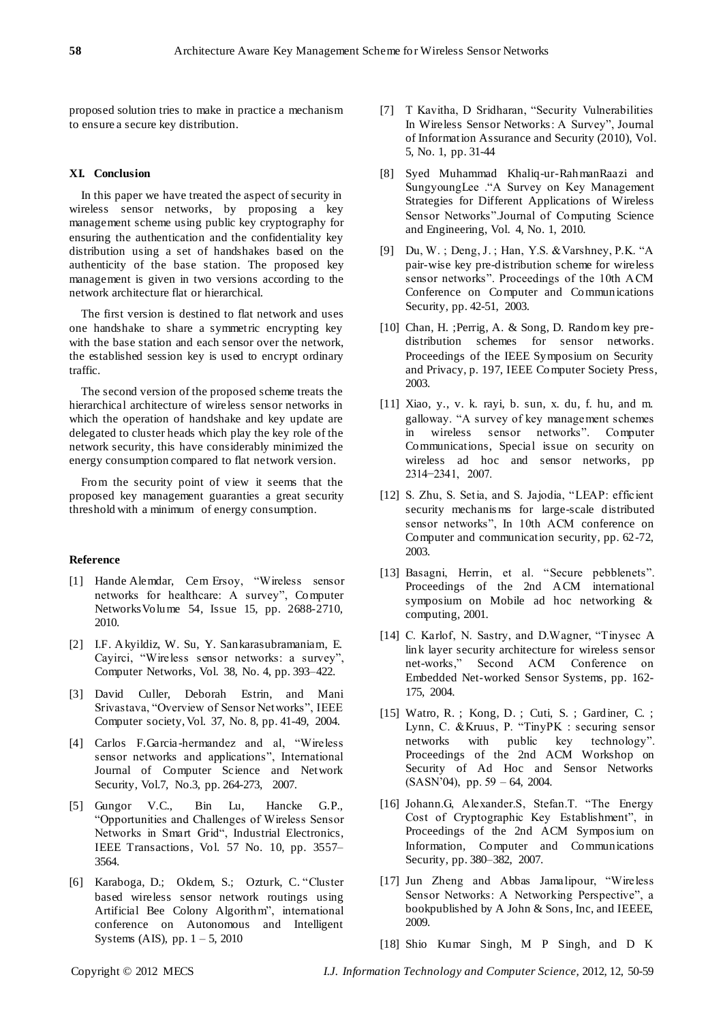proposed solution tries to make in practice a mechanism to ensure a secure key distribution.

## **XI. Conclusion**

In this paper we have treated the aspect of security in wireless sensor networks, by proposing a key management scheme using public key cryptography for ensuring the authentication and the confidentiality key distribution using a set of handshakes based on the authenticity of the base station. The proposed key management is given in two versions according to the network architecture flat or hierarchical.

The first version is destined to flat network and uses one handshake to share a symmetric encrypting key with the base station and each sensor over the network, the established session key is used to encrypt ordinary traffic.

The second version of the proposed scheme treats the hierarchical architecture of wireless sensor networks in which the operation of handshake and key update are delegated to cluster heads which play the key role of the network security, this have considerably minimized the energy consumption compared to flat network version.

From the security point of view it seems that the proposed key management guaranties a great security threshold with a minimum of energy consumption.

#### **Reference**

- [1] Hande Alemdar, Cem Ersoy, "Wireless sensor networks for healthcare: A survey", [Computer](http://www.sciencedirect.com/science/journal/13891286)  [Networks](http://www.sciencedirect.com/science/journal/13891286)[Volume 54, Issue 15,](http://www.sciencedirect.com/science?_ob=PublicationURL&_hubEid=1-s2.0-S1389128610X00159&_cid=271990&_pubType=JL&view=c&_auth=y&_acct=C000228598&_version=1&_urlVersion=0&_userid=10&md5=3bdb42275cd7f79313d04b782d0301db) pp. 2688-2710, 2010.
- [2] I.F. Akyildiz, W. Su, Y. Sankarasubramaniam, E. Cayirci, "Wireless sensor networks: a survey", Computer Networks, Vol. 38, No. 4, pp. 393–422.
- [3] David Culler, Deborah Estrin, and Mani Srivastava, "Overview of Sensor Networks", IEEE Computer society, Vol. 37, No. 8, pp. 41-49, 2004.
- [4] Carlos F.Garcia -hermandez and al, "Wireless sensor networks and applications", International Journal of Computer Science and Network Security, Vol.7, No.3, pp. 264-273, 2007.
- [5] Gungor V.C., Bin Lu, Hancke G.P., "Opportunities and Challenges of Wireless Sensor Networks in Smart Grid", [Industrial Electronics,](http://ieeexplore.ieee.org/xpl/RecentIssue.jsp?punumber=41)  [IEEE Transactions,](http://ieeexplore.ieee.org/xpl/RecentIssue.jsp?punumber=41) Vol. 57 [No. 10,](http://ieeexplore.ieee.org/xpl/tocresult.jsp?isnumber=5567234) pp. 3557– 3564.
- [6] Karaboga, D.; Okdem, S.; Ozturk, C. "Cluster based wireless sensor network routings using Artificial Bee Colony Algorithm", international conference on [Autonomous and Intelligent](http://ieeexplore.ieee.org/xpl/mostRecentIssue.jsp?punumber=5538455)  [Systems \(AIS\), p](http://ieeexplore.ieee.org/xpl/mostRecentIssue.jsp?punumber=5538455)p.  $1 - 5$ , 2010
- [7] T Kavitha, D Sridharan, "Security Vulnerabilities In Wireless Sensor Networks: A Survey", Journal of Information Assurance and Security (2010), Vol. 5, No. 1, pp. 31-44
- [8] Syed Muhammad Khaliq-ur-RahmanRaazi and SungyoungLee ."A Survey on Key Management Strategies for Different Applications of Wireless Sensor Networks".Journal of Computing Science and Engineering, Vol. 4, No. 1, 2010.
- [9] Du, W. ; Deng, J. ; Han, Y.S. &Varshney, P.K. "A pair-wise key pre-distribution scheme for wireless sensor networks". Proceedings of the 10th ACM Conference on Computer and Communications Security, pp. 42-51, 2003.
- [10] Chan, H. ;Perrig, A. & Song, D. Random key predistribution schemes for sensor networks. Proceedings of the IEEE Symposium on Security and Privacy, p. 197, IEEE Computer Society Press, 2003.
- [11] Xiao, y., v. k. rayi, b. sun, x. du, f. hu, and m. galloway. "A survey of key management schemes in wireless sensor networks". Computer Communications, Special issue on security on wireless ad hoc and sensor networks, pp 2314−2341, 2007.
- [12] S. Zhu, S. Setia, and S. Jajodia, "LEAP: efficient security mechanis ms for large-scale distributed sensor networks", In 10th ACM conference on Computer and communication security, pp. 62-72, 2003.
- [13] Basagni, Herrin, et al. "Secure pebblenets". Proceedings of the 2nd ACM international symposium on Mobile ad hoc networking & computing, 2001.
- [14] C. Karlof, N. Sastry, and D.Wagner, "Tinysec A link layer security architecture for wireless sensor net-works," Second ACM Conference on Embedded Net-worked Sensor Systems, pp. 162- 175, 2004.
- [15] Watro, R. ; Kong, D. ; Cuti, S. ; Gardiner, C. ; Lynn, C. &Kruus, P. "TinyPK : securing sensor networks with public key technology". Proceedings of the 2nd ACM Workshop on Security of Ad Hoc and Sensor Networks (SASN'04), pp. 59 – 64, 2004.
- [16] Johann.G, Alexander.S, Stefan.T. "The Energy Cost of Cryptographic Key Establishment", in Proceedings of the 2nd ACM Symposium on Information, Computer and Communications Security, pp. 380–382, 2007.
- [17] Jun Zheng and Abbas Jamalipour, "Wireless Sensor Networks: A Networking Perspective", a bookpublished by A John & Sons, Inc, and IEEEE, 2009.

[18] Shio Kumar Singh, M P Singh, and D K